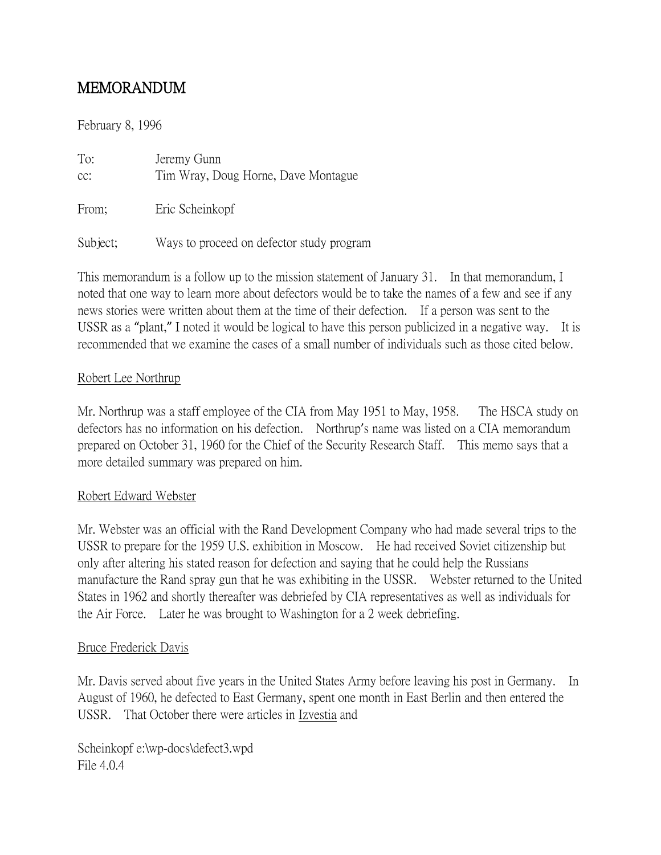# MEMORANDUM

February 8, 1996

| To:<br>cc: | Jeremy Gunn<br>Tim Wray, Doug Horne, Dave Montague |
|------------|----------------------------------------------------|
| From;      | Eric Scheinkopf                                    |
| Subject;   | Ways to proceed on defector study program          |

This memorandum is a follow up to the mission statement of January 31. In that memorandum, I noted that one way to learn more about defectors would be to take the names of a few and see if any news stories were written about them at the time of their defection. If a person was sent to the USSR as a "plant," I noted it would be logical to have this person publicized in a negative way. It is recommended that we examine the cases of a small number of individuals such as those cited below.

## Robert Lee Northrup

Mr. Northrup was a staff employee of the CIA from May 1951 to May, 1958. The HSCA study on defectors has no information on his defection. Northrup's name was listed on a CIA memorandum prepared on October 31, 1960 for the Chief of the Security Research Staff. This memo says that a more detailed summary was prepared on him.

## Robert Edward Webster

Mr. Webster was an official with the Rand Development Company who had made several trips to the USSR to prepare for the 1959 U.S. exhibition in Moscow. He had received Soviet citizenship but only after altering his stated reason for defection and saying that he could help the Russians manufacture the Rand spray gun that he was exhibiting in the USSR. Webster returned to the United States in 1962 and shortly thereafter was debriefed by CIA representatives as well as individuals for the Air Force. Later he was brought to Washington for a 2 week debriefing.

#### Bruce Frederick Davis

Mr. Davis served about five years in the United States Army before leaving his post in Germany. In August of 1960, he defected to East Germany, spent one month in East Berlin and then entered the USSR. That October there were articles in Izvestia and

Scheinkopf e:\wp-docs\defect3.wpd File 4.0.4